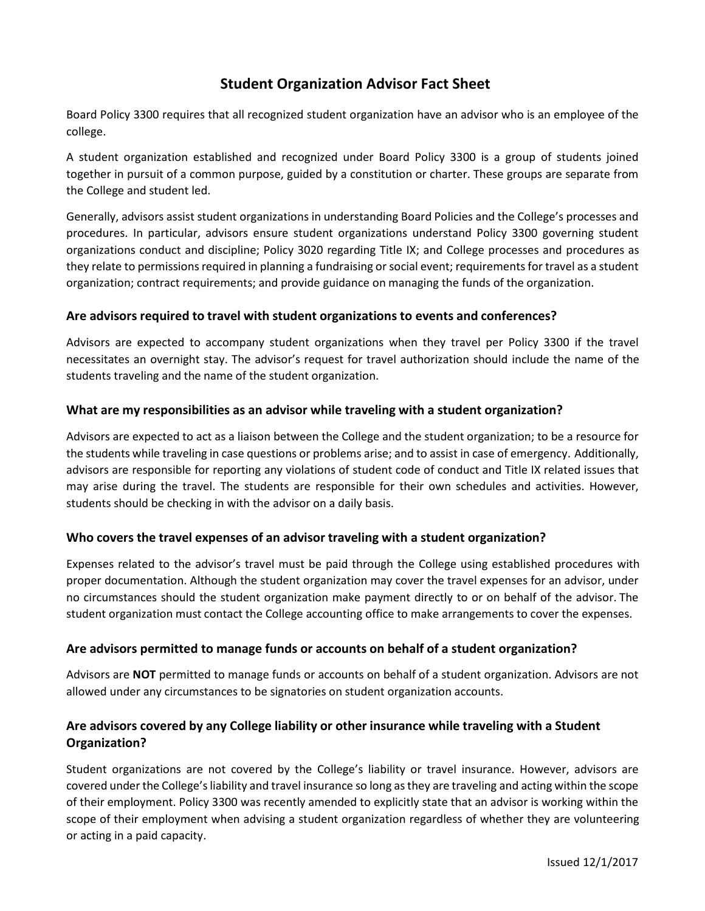# **Student Organization Advisor Fact Sheet**

Board Policy 3300 requires that all recognized student organization have an advisor who is an employee of the college.

A student organization established and recognized under Board Policy 3300 is a group of students joined together in pursuit of a common purpose, guided by a constitution or charter. These groups are separate from the College and student led.

Generally, advisors assist student organizations in understanding Board Policies and the College's processes and procedures. In particular, advisors ensure student organizations understand Policy 3300 governing student organizations conduct and discipline; Policy 3020 regarding Title IX; and College processes and procedures as they relate to permissions required in planning a fundraising or social event; requirements for travel as a student organization; contract requirements; and provide guidance on managing the funds of the organization.

### **Are advisors required to travel with student organizations to events and conferences?**

Advisors are expected to accompany student organizations when they travel per Policy 3300 if the travel necessitates an overnight stay. The advisor's request for travel authorization should include the name of the students traveling and the name of the student organization.

#### **What are my responsibilities as an advisor while traveling with a student organization?**

Advisors are expected to act as a liaison between the College and the student organization; to be a resource for the students while traveling in case questions or problems arise; and to assist in case of emergency. Additionally, advisors are responsible for reporting any violations of student code of conduct and Title IX related issues that may arise during the travel. The students are responsible for their own schedules and activities. However, students should be checking in with the advisor on a daily basis.

### **Who covers the travel expenses of an advisor traveling with a student organization?**

Expenses related to the advisor's travel must be paid through the College using established procedures with proper documentation. Although the student organization may cover the travel expenses for an advisor, under no circumstances should the student organization make payment directly to or on behalf of the advisor. The student organization must contact the College accounting office to make arrangements to cover the expenses.

### **Are advisors permitted to manage funds or accounts on behalf of a student organization?**

Advisors are **NOT** permitted to manage funds or accounts on behalf of a student organization. Advisors are not allowed under any circumstances to be signatories on student organization accounts.

## **Are advisors covered by any College liability or other insurance while traveling with a Student Organization?**

Student organizations are not covered by the College's liability or travel insurance. However, advisors are covered under the College'sliability and travel insurance so long asthey are traveling and acting within the scope of their employment. Policy 3300 was recently amended to explicitly state that an advisor is working within the scope of their employment when advising a student organization regardless of whether they are volunteering or acting in a paid capacity.